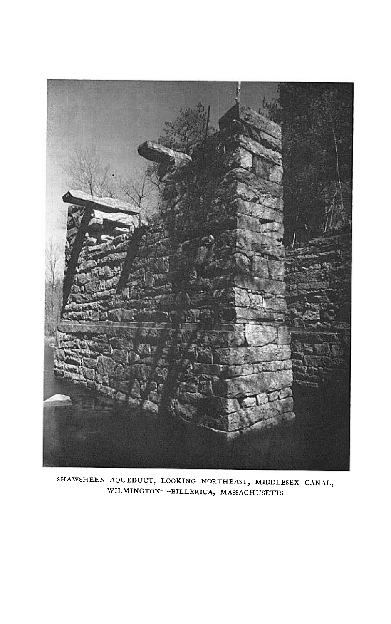

**SHAWSHEEN AQUEDUCT, LOOKING NORTHEAST, MIDDLESEX CANAL WINGTON-BILLERICA, MASSACHUSETTS**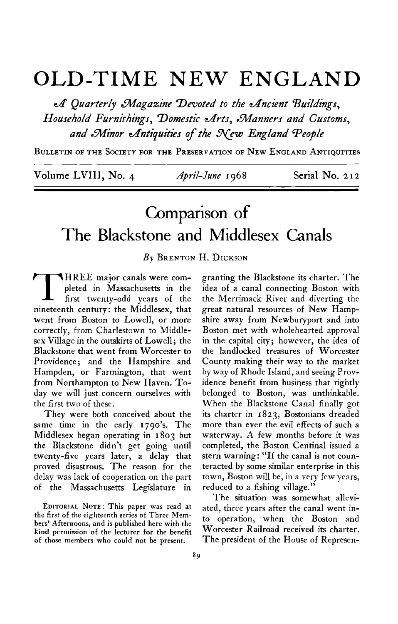## **OLD-TIME NEW ENGLAND**

**d' Quarter/y magazine Devoted to the cffncient Buildings,**  Household Furnishings, Domestic Arts, Manners and Customs, and Minor Antiquities of the New England People

**BULLETIN OF THE SOCIETY FOR THE PRESERVATION OF NEW ENGLAND ANTIQUITIES** 

Volume LVIII, No. 4 *April-June* 1968 Serial No. 212

## **Comparison of The Blackstone and Middlesex Canals**

**By BRENTON H. DICKSON** 

**T HREE major canals were completed in Massachusetts in the first twenty-odd years of the nineteenth century : the Middlesex, that went from Boston to Lowell, or more correctly, from Charlestown to Middlesex Village in the outskirts of Lowell; the Blackstone that went from Worcester to Providence ; and the Hampshire and Hampden, or Farmington, that went from Northampton to New Haven. Today we will just concern ourselves with the first two of these.** 

**They were both conceived about the same time in the early 1790's. The Middlesex began operating in 1803 but the Blackstone didn't get going until twenty-five years later, a delay that proved disastrous. The reason for the delay was lack of cooperation on the part of the Massachusetts Legislature in** 

**EDITORIAL NOTE: This paper was read at the first of the eighteenth series of Three Members' Afternoons, and is published here with the kind permission of the lecturer for the benefit of those members who could not be present.** 

**granting the Blackstone its charter. The idea of a canal connecting Boston with the Merrimack River and diverting the great natural resources of New Hampshire away from Newburyport and into Boston met with wholehearted approval in the capital city; however, the idea of the landlocked treasures of Worcester County making their way to the market by way of Rhode Island, and seeing Providence benefit from business that rightly belonged to Boston, was unthinkable. When the Blackstone Canal finally got its charter in 1823, Bostonians dreaded more than ever the evil effects of such a waterway. A few months before it was completed, the Boston Centinal issued a stern warning: "If the canal is not counteracted by some similar enterprise in this town, Boston will be, in a very few years, reduced to a fishing village."** 

**The situation was somewhat alleviated, three years after the canal went into operation, when the Boston and Worcester Railroad received its charter. The president of the House of Represen-**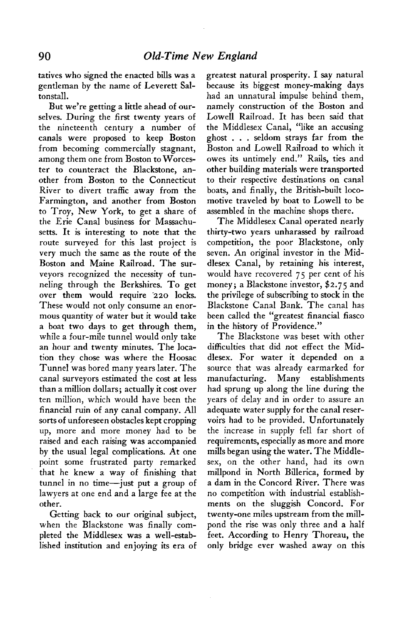**tatives who signed the enacted bills was a gentleman by the name of Leverett Saltonstall.** 

**But we're getting a little ahead of ourselves. During the first twenty years of the nineteenth century a number of canals were proposed to keep Boston from becoming commercially stagnant, among them one from Boston to Worcester to counteract the Blackstone, another from Boston to the Connecticut River to divert traffic away from the Farmington, and another from Boston to Troy, New York, to get a share of the Erie Canal business for Massachusetts. It is interesting to note that the route surveyed for this last project is very much the same as the route of the Boston and Maine Railroad. The surveyors recognized the necessity of tunneling through the Berkshires. To get over them would require 120 locks. These would not only consume an enormous quantity of water but it would take a boat two days to get through them, while a four-mile tunnel would only take an hour and twenty minutes. The location they chose was where the Hoosac Tunnel was bored many years later. The canal surveyors estimated the cost at less than a million dollars; actually it cost over ten million, which would have been the financial ruin of any canal company. All sorts of unforeseen obstacles kept cropping up, more and more money had to be raised and each raising was accompanied by the usual legal complications. At one point some frustrated party remarked that he knew a way of finishing that tunnel in no time-just put a group of lawyers at one end and a large fee at the other.** 

**Getting back to our original subject, when the Blackstone was finally completed the Middlesex was a well-established institution and enjoying its era of**  **greatest natural prosperity. I say natural because its biggest money-making days had an unnatural impulse behind them, namely construction of the Boston and Lowell Railroad. It has been said that the Middlesex Canal, "like an accusing ghost . . . seldom strays far from the Boston and Lowell Railroad to which it owes its untimely end." Rails, ties and other building materials were transported to their respective destinations on canal boats, and finally, the British-built locomotive traveled by boat to Lowell to be assembled in the machine shops there.** 

**The Middlesex Canal operated nearly thirty-two years unharassed by railroad competition, the poor Blackstone, only seven. An original investor in the Middlesex Canal, by retaining his interest, would have recovered 75 per cent of his money; a Blackstone investor, \$2.75 and the privilege of subscribing to stock in the Blackstone Canal Bank. The canal has been called the "greatest financial fiasco in the history of Providence."** 

**The Blackstone was beset with other difficulties that did not effect the Middlesex. For water it depended on a source that was already earmarked for manufacturing. Many establishments had sprung up along the line during the years of delay and in order to assure an adequate water supply for the canal reservoirs had to be provided. Unfortunately the increase in supply fell far short of requirements, especially as more and more mills began using the water. The Middlesex, on the other hand, had its own millpond in North Billerica, formed by a dam in the Concord River. There was no competition with industrial establishments on the sluggish Concord. For twenty-one miles upstream from the millpond the rise was only three and a half feet. According to Henry Thoreau, the only bridge ever washed away on this**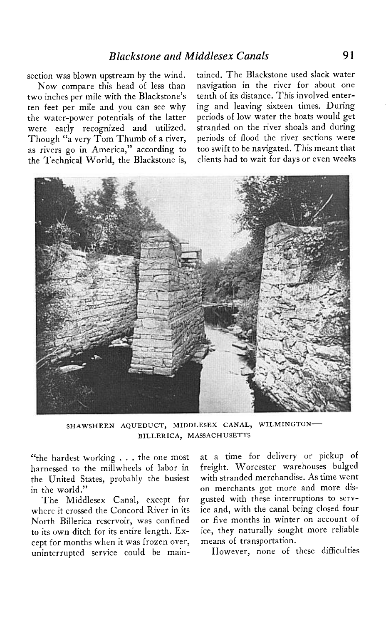**section was blown upstream by the wind.** 

**Now compare this head of less than two inches per mile with the Blackstone's ten feet per mile and you can see why the water-power potentials of the latter were early recognized and utilized. Though "a very Tom Thumb of a river, as rivers go in America," according to the Technical World, the Blackstone is,**  **tained. The Blackstone used slack water navigation in the river for about one tenth of its distance. This involved entering and leaving sixteen times. During periods of low water the boats would get stranded on the river shoals and during periods of flood the river sections were too swift to be navigated. This meant that clients had to wait for days or even weeks** 



**SHAWSHEEN AQUEDUCT, MIDDLESEX CANAL, WILMINGTON-BILLERICA, MASSACHUSETTS** 

**"the hardest working . . . the one most harnessed to the millwheels of labor in the United States, probably the busiest in the world."** 

**The Middlesex Canal, except for where it crossed the Concord River in jts North Billerica reservoir, was confined to its own ditch for its entire length. Except for months when it was frozen over, uninterrupted service could be main-** **at a time for delivery or pickup of freight. Worcester warehouses bulged with stranded merchandise. As time went on merchants got more and more disgusted with these interruptions to service and, with the canal being closed four or five months in winter on account of ice, they naturally sought more reliable means of transportation.** 

**However, none of these difficulties**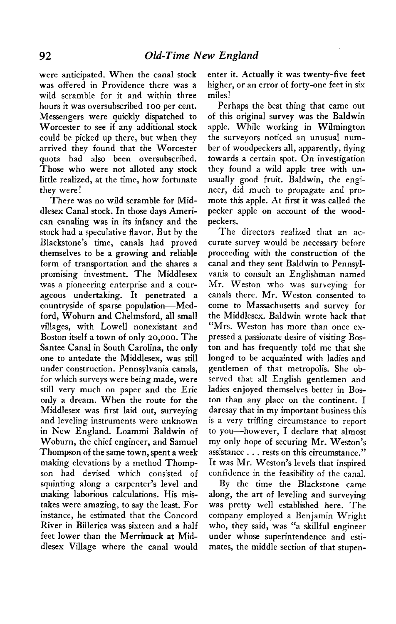**were anticipated. When the canal stock was offered in Providence there was a wild scramble for it and within three hours it was oversubscribed IOO per cent. Messengers were quickly dispatched to Worcester to see if any additional stock could be picked up there, but when they arrived they found that the Worcester quota had also been oversubscribed. Those who were not alloted any stock little realized, at the time, how fortunate they were!** 

**There was no wild scramble for Middlesex Canal stock. In those days American canaling was in its infancy and the stock had a speculative flavor. But by the Blackstone's time, canals had proved themselves to be a growing and reliable form of transportation and the shares a promising investment. The Middlesex was a pioneering enterprise and a courageous undertaking. It penetrated a countryside of sparse population-Medford, Woburn and Chelmsford, all small villages, with Lowell nonexistant and Boston itself a town of only 20,000. The Santee Canal in South Carolina, the only one to antedate the Middlesex, was still under construction. Pennsylvania canals, for which surveys were being made, were still very much on paper and the Erie only a dream. When the route for the Middlesex was first laid out, surveying and leveling instruments were unknown in New England. Loammi Baldwin of Woburn, the chief engineer, and Samuel Thompson of the same town, spent a week making elevations by a method Thompson had devised which consisted of squinting along a carpenter's level and making laborious calculations. His mistakes were amazing, to say the least. For instance, he estimated that the Concord River in Billerica was sixteen and a half feet lower than the Merrimack at Middlesex Village where the canal would** 

**enter it. Actually it was twenty-five feet higher, or an error of forty-one feet in six miles!** 

**Perhaps the best thing that came out of this original survey was the Baldwin apple. While working in Wilmington the surveyors noticed an unusual number of woodpeckers all, apparently, flying towards a certain spot. On investigation they found a wild apple tree with unusually good fruit. Baldwin, the engineer, did much to propagate and promote this apple. At first it was called the pecker apple on account of the woodpeckers.** 

**The directors realized that an accurate survey would be necessary before proceeding with the construction of the canal and they sent Baldwin to Pennsylvania to consult an Englishman named Mr. Weston who was surveying for canals there. Mr. Weston consented to come to Massachusetts and survey for the Middlesex. Baldwin wrote back that "Mrs. Weston has more than once expressed a passionate desire of visiting Boston and has frequently told me that she longed to be acquainted with ladies and gentlemen of that metropolis. She observed that all English gentlemen and ladies enjoyed themselves better in Boston than any place on the continent. I daresay that in my important business this is a very trifling circumstance to report to you-however, I declare that almost mv only hope of securing Mr. Weston's a&stance . . . rests on this circumstance." It was Mr. Weston's levels that inspired confidence in the feasibility of the canal.** 

**By the time the Blackstone came along, the art of leveling and surveying was pretty well established here. The company employed a Benjamin Wright who, they said, was "a skillful engineer under whose superintendence and estimates, the middle section of that stupen-**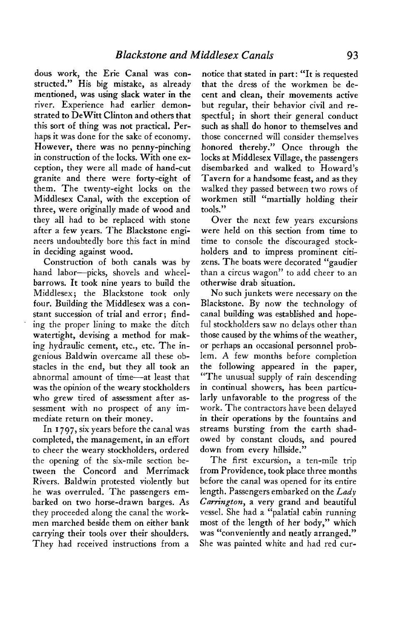**dous work, the Erie Canal was constructed." His big mistake, as already mentioned, was using slack water in the river. Experience had earlier demonstrated to Dewitt Clinton and others that this sort of thing was not practical. Perhaps it was done for the sake of economy. However, there was no penny-pinching in construction of the locks. With one exception, they were all made of hand-cut granite and there were forty-eight of them. The twenty-eight locks on the Middlesex Canal, with the exception of three, were originally made of wood and they all had to be replaced with stone after a few years. The Blackstone engineers undoubtedly bore this fact in mind in deciding against wood.** 

**Construction of both canals was by**  hand labor-picks, shovels and wheel**barrows. It took nine years to build the Middlesex; the Blackstone took only four. Building the 'Middlesex was a constant succession of trial and error; finding the proper lining to make the ditch watertight, devising a method for making hydraulic cement, etc., etc. The ingenious Baldwin overcame all these obstacles in the end, but they all took an abnormal amount of time-at least that was the opinion of the weary stockholders who grew tired of assessment after assessment with no prospect of any immediate return on their money.** 

**In I 797, six years before the canal was completed, the management, in an effort to cheer the weary stockholders, ordered the opening of the six-mile section between the Concord and Merrimack Rivers. Baldwin protested violently but he was overruled. The passengers embarked on two horse-drawn barges. As they proceeded along the canal the workmen marched beside them on either bank carrying their tools over their shoulders. They had received instructions from a** 

**notice that stated in part: "It is requested that the dress of the workmen be decent and clean, their movements active but regular, their behavior civil and respectful; in short their general conduct such as shall do honor to themselves and those concerned will consider themselves honored thereby." Once through the locks at Middlesex Village, the passengers disembarked and walked to Howard's Tavern for a handsome feast, and as they walked they passed between two rows of workmen still "martially holding their tools."** 

**Over the next few years excursions were held on this section from time to time to console the discouraged stockholders and to impress prominent citizens. The boats were decorated "gaudier than a circus wagon" to add cheer to an otherwise drab situation.** 

**No such junkets were necessary on the Blackstone. By now the technology of canal building was established and hopeful stockholders saw no delays other than those caused by the whims of the weather, or perhaps an occasional personnel problem. A few months before completion the following appeared in the paper, "The unusual supply of rain descending in continual showers, has been particularly unfavorable to the progress of the work. The contractors have been delayed in their operations by the fountains and streams bursting from the earth shadowed by constant clouds, and poured down from every hillside."** 

**The first excursion, a ten-mile trip from Providence, took place three months before the canal was opened for its entire length. Passengers embarked on the Lady Carrington, a very grand and beautiful vessel. She had a "palatial cabin running most of the length of her body," which was "conveniently and neatly arranged." She was painted white and had red cur-**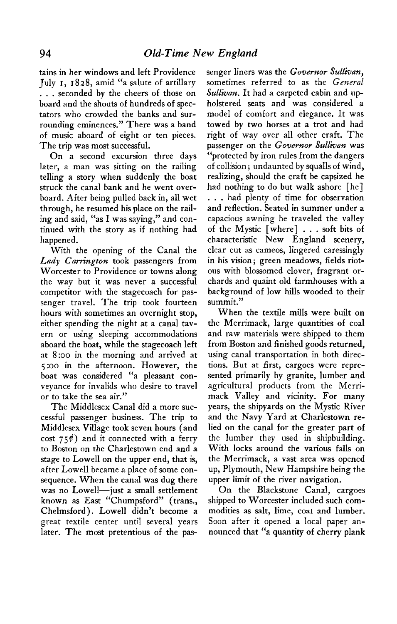**tains in her windows and left Providence July I, I 828, amid "a salute of artillary . . . seconded by the cheers of those on board and the shouts of hundreds of spectators who crowded the banks and surrounding eminences." There was a band of music aboard of eight or ten pieces. The trip was most successful.** 

**On a second excursion three days later, a man was sitting on the railing telling a story when suddenly the boat struck the canal bank and he went overboard. After being pulled back in, all wet through, he resumed his place on the railing and said, "as I was saying," and continued with the story as if nothing had happened.** 

**With the opening of the Canal the**  Lady *Carrington* took passengers from **Worcester to Providence or towns along the way but it was never a successful competitor with the stagecoach for passenger travel. The trip took fourteen hours with sometimes an overnight stop, either spending the night at a canal tavern or using sleeping accommodations aboard the boat, while the stagecoach left at 8:oo in the morning and arrived at 5:oo in the afternoon. However, the boat was considered "a pleasant conveyance for invalids who desire to travel or to take the sea air."** 

**The Middlesex Canal did a more successful passenger business. The trip to Middlesex Village took seven hours (and cost 75\$) and it connected with a ferry to Boston on the Charlestown end and a stage to Lowell on the upper end, that is, after Lowell became a place of some consequence. When the canal was dug there was no Lowell-just a small settlement known as East "Chumpsford" (trans., Chelmsford). Lowell didn't become a great textile center until several years later. The most pretentious of the pas-** **senger liners was the Governor Sullivan, sometimes referred to as the General Sullivan. It had a carpeted cabin and upholstered seats and was considered a model of comfort and elegance. It was towed by two horses at a trot and had right of way over all other craft. The**  passenger on the Governor Sullivan was **"protected by iron rules from the dangers of collision; undaunted by squalls of wind, realizing, should the craft be capsized he had nothing to do but walk ashore [he] . . . had plenty of time for observation and reflection. Seated in summer under a capacious awning he traveled the valley of the Mystic [where] . . . soft bits of characteristic New England scenery, clear cut as cameos, lingered caressingly in his vision; green meadows, fields riotous with blossomed clover, fragrant orchards and quaint old farmhouses with a background of low hills wooded to their summit."** 

**When the textile mills were built on the Merrimack, large quantities of coal and raw materials were shipped to them from Boston and finished goods returned, using canal transportation in both directions. But at first, cargoes were represented primarily by granite, lumber and agricultural products from the Merrimack Valley and vicinity. For many years, the shipyards on the Mystic River and the Navy Yard at Charlestown relied on the canal for the greater part of the lumber they used in shipbuilding, With locks around the various falls on the Merrimack, a vast area was opened up, Plymouth, New Hampshire being the upper limit of the river navigation.** 

**On the Blackstone Canal, cargoes shipped to Worcester included such commodities as salt, lime, coal and lumber. Soon after it opened a local paper announced that "a quantity of cherry plank**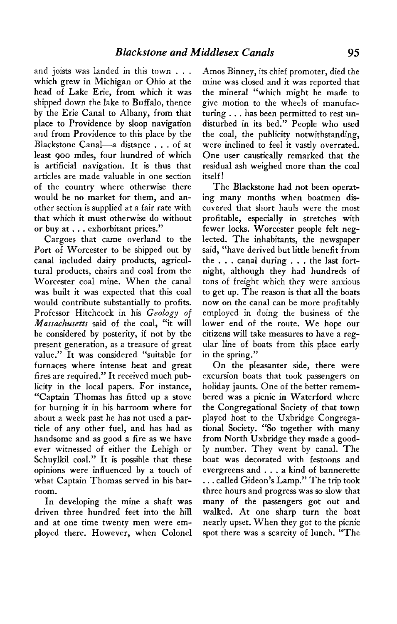**and joists was landed in this town . , . which grew in Michigan or Ohio at the head of Lake Erie, from which it was shipped down the lake to Buffalo, thence by the Erie Canal to Albany, from that place to Providence by sloop navigation and from Providence to this place by the Blackstone Canal-a distance . . . of at least 900 miles, four hundred of which is artificial navigation. It is thus that articles are made valuable in one section of the country where otherwise there would be no market for them, and another section is supplied at a fair rate with that which it must otherwise do without or buy at . . . exhorbitant prices."** 

**Cargoes that came overland to the Port of Worcester to be shipped out by canal included dairy products, agricultural products, chairs and coal from the Worcester coal mine. When the canal was built it was expected that this coal would contribute substantially to profits. Professor Hitchcock in his Geology of Massachusetts said of the coal, "it will be considered by posterity, if not by the present generation, as a treasure of great value." It was considered "suitable for furnaces where intense heat and great fires are required." It received much publicity in the local papers. For instance, "Captain Thomas has fitted up a stove for burning it in his barroom where for about a week past he has not used a particle of any other fuel, and has had as handsome and as good a fire as we have ever witnessed of either the Lehigh or Schuylkil coal." It is possible that these opinions were influenced by a touch of what Captain Thomas served in his barroom.** 

**In developing the mine a shaft was driven three hundred feet into the hill and at one time twenty men were employed there. However, when Colonel**  **Amos Binney, its chief promoter, died the mine was closed and it was reported that the mineral "which might be made to give motion to the wheels of manufacturing . . . has been permitted to rest undisturbed in its bed." People who used the coal, the publicity notwithstanding, were inclined to feel it vastly overrated. One user caustically remarked that the residual ash weighed more than the coal itself!** 

**The Blackstone had not been operating many months when boatmen discovered that short hauls were the most profitable, especially in stretches with fewer locks. Worcester people felt neglected. The inhabitants, the newspaper said, "have derived but little benefit from the . . . canal during . . . the last fortnight, although they had hundreds of tons of freight which they were anxious to get up. The reason is that all the boats now on the canal can be more profitably employed in doing the business of the lower end of the route. We hope our citizens will take measures to have a regular line of boats from this place early in the spring."** 

**On the pleasanter side, there were excursion boats that took passengers on holiday jaunts. One of the better remembered was a picnic in Waterford where the Congregational Society of that town played host to the Uxbridge Congregational Society. "So together with many from North Uxbridge they made a goodly number. They went by canal. The boat was decorated with festoons and evergreens and . . . a kind of bannerette . . . called Gideon's Lamp." The trip took three hours and progress was so slow that many of the passengers got out and walked. At one sharp turn the boat nearly upset. When they got to the picnic spot there was a scarcity of lunch. "The**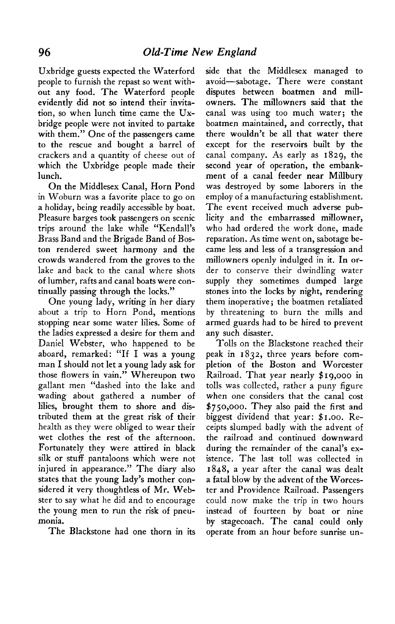**Uxbridge guests expected the Waterford people to furnish the repast so went without any food. The Waterford people evidently did not so intend their invitation, so when lunch time came the Uxbridge people were not invited to partake with them." One of the passengers came to the rescue and bought a barrel of crackers and a quantity of cheese out of which the Uxbridge people made their lunch.** 

**On the Middlesex Canal, Horn Pond in Woburn was a favorite place to go on a holiday, being readily accessible by boat. Pleasure barges took passengers on scenic trips around the lake while "Kendall's Brass Band and the Brigade Band of Boston rendered sweet harmony and the crowds wandered from the groves to the lake and back to the canal where shots of lumber, rafts and canal boats were continually passing through the locks."** 

**One young lady, writing in her diary about a trip to Horn Pond, mentions stopping near some water lilies. Some of the ladies expressed a desire for them and Daniel Webster, who happened to be aboard, remarked: "If I was a young man I should not let a young lady ask for those flowers in vain." Whereupon two gallant men "dashed into the lake and wading about gathered a number of lilies, brought them to shore and distributed them at the great risk of their health as they were obliged to wear their wet clothes the rest of the afternoon. Fortunately they were attired in black silk or stuff pantaloons which were not injured in appearance." The diary also states that the young lady's mother considered it very thoughtless of Mr. Webster to say what he did and to encourage the young men to run the risk of pneumonia.** 

**The Blackstone had one thorn in its** 

**side that the Middlesex managed to avoid-sabotage. There were constant disputes between boatmen and millowners. The millowners said that the canal was using too much water; the boatmen maintained, and correctly, that there wouldn't be all that water there except for the reservoirs built by the canal company. As early as 1829, the second year of operation, the embankment of a canal feeder near Millbury was destroyed by some laborers in the employ of a manufacturing establishment. The event received much adverse publicity and the embarrassed millowner, who had ordered the work done, made reparation. As time went on, sabotage became less and less of a transgression and millowners openly indulged in it. In order to conserve their dwindling water supply they sometimes dumped large stones into the locks by night, rendering them inoperative; the boatmen retaliated by threatening to burn the mills and armed guards had to be hired to prevent any such disaster.** 

**Tolls on the Blackstone reached their peak in 1832, three years before completion of the Boston and Worcester Railroad. That year nearly \$19,000 in tolls was collected, rather a puny figure when one considers that the canal cost \$750,000. They also paid the first and biggest dividend that year: \$1.00. Receipts slumped badly with the advent of the railroad and continued downward during the remainder of the canal's existence. The last toll was collected in 1848, a year after the canal was dealt a fatal blow by the advent of the Worcester and Providence Railroad. Passengers could now make the trip in two hours instead of fourteen by boat or nine**  by stagecoach. The canal could only **operate from an hour before sunrise un-**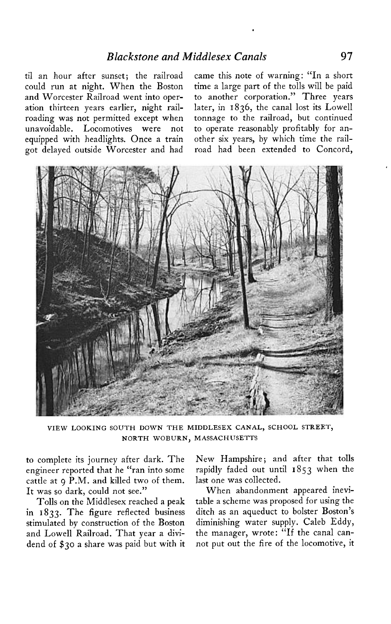**til an hour after sunset; the railroad could run at night. When the Boston and Worcester Railroad went into operation thirteen years earlier, night railroading was not permitted except when unavoidable. Locomotives were not equipped with headlights. Once a train got delayed outside Worcester and had** 

**came this note of warning: "In a short time a large part of the tolls will be paid to another corporation." Three years later, in 1836, the canal lost its Lowell tonnage to the railroad, but continued to operate reasonably profitably for another six years, by which time the railroad had been extended to Concord,** 



**VIEW LOOKING SOUTH DOWN THE MIDDLESEX CANAL, SCHOOL STREET, NORTH WOBURN, MASSACHUSETTS** 

**to complete its journey after dark. The engineer reported that he "ran into some cattle at 9 P.M. and killed two of them. It was so dark, could not see."** 

**Tolls on the Middlesex reached a peak**  in 1833. The figure reflected business **stimulated by construction of the Boston and Lowell Railroad. That year a dividend of \$30 a share was paid but with it**  **New Hampshire ; and after that tolls rapidly faded out until I 853 when the last one was collected.** 

**When abandonment appeared inevitable a scheme was proposed for using the ditch as an aqueduct to bolster Boston's diminishing water supply. Caleb Eddy, the manager, wrote: "If the canal cannot put out the fire of the locomotive, it**